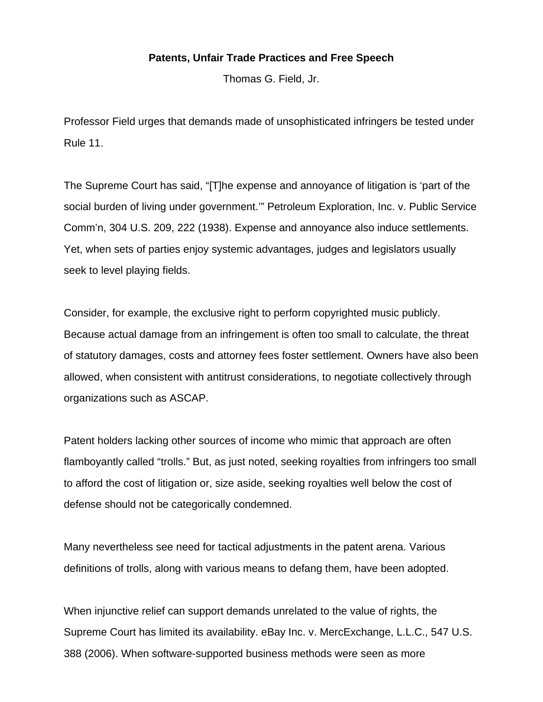## **Patents, Unfair Trade Practices and Free Speech**

Thomas G. Field, Jr.

Professor Field urges that demands made of unsophisticated infringers be tested under Rule 11.

The Supreme Court has said, "[T]he expense and annoyance of litigation is 'part of the social burden of living under government.'" Petroleum Exploration, Inc. v. Public Service Comm'n, 304 U.S. 209, 222 (1938). Expense and annoyance also induce settlements. Yet, when sets of parties enjoy systemic advantages, judges and legislators usually seek to level playing fields.

Consider, for example, the exclusive right to perform copyrighted music publicly. Because actual damage from an infringement is often too small to calculate, the threat of statutory damages, costs and attorney fees foster settlement. Owners have also been allowed, when consistent with antitrust considerations, to negotiate collectively through organizations such as ASCAP.

Patent holders lacking other sources of income who mimic that approach are often flamboyantly called "trolls." But, as just noted, seeking royalties from infringers too small to afford the cost of litigation or, size aside, seeking royalties well below the cost of defense should not be categorically condemned.

Many nevertheless see need for tactical adjustments in the patent arena. Various definitions of trolls, along with various means to defang them, have been adopted.

When injunctive relief can support demands unrelated to the value of rights, the Supreme Court has limited its availability. eBay Inc. v. MercExchange, L.L.C., 547 U.S. 388 (2006). When software-supported business methods were seen as more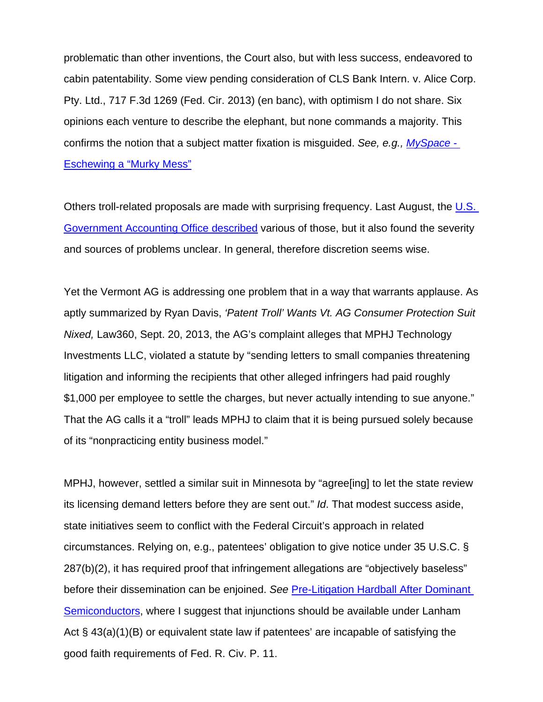problematic than other inventions, the Court also, but with less success, endeavored to cabin patentability. Some view pending consideration of CLS Bank Intern. v. Alice Corp. Pty. Ltd., 717 F.3d 1269 (Fed. Cir. 2013) (en banc), with optimism I do not share. Six opinions each venture to describe the elephant, but none commands a majority. This confirms the notion that a subject matter fixation is misguided. *See, e.g., MySpace* - Eschewing a "Murky Mess"

Others troll-related proposals are made with surprising frequency. Last August, the U.S. Government Accounting Office described various of those, but it also found the severity and sources of problems unclear. In general, therefore discretion seems wise.

Yet the Vermont AG is addressing one problem that in a way that warrants applause. As aptly summarized by Ryan Davis, *'Patent Troll' Wants Vt. AG Consumer Protection Suit Nixed,* Law360, Sept. 20, 2013, the AG's complaint alleges that MPHJ Technology Investments LLC, violated a statute by "sending letters to small companies threatening litigation and informing the recipients that other alleged infringers had paid roughly \$1,000 per employee to settle the charges, but never actually intending to sue anyone." That the AG calls it a "troll" leads MPHJ to claim that it is being pursued solely because of its "nonpracticing entity business model."

MPHJ, however, settled a similar suit in Minnesota by "agree[ing] to let the state review its licensing demand letters before they are sent out." *Id*. That modest success aside, state initiatives seem to conflict with the Federal Circuit's approach in related circumstances. Relying on, e.g., patentees' obligation to give notice under 35 U.S.C. § 287(b)(2), it has required proof that infringement allegations are "objectively baseless" before their dissemination can be enjoined. *See* Pre-Litigation Hardball After Dominant Semiconductors, where I suggest that injunctions should be available under Lanham Act § 43(a)(1)(B) or equivalent state law if patentees' are incapable of satisfying the good faith requirements of Fed. R. Civ. P. 11.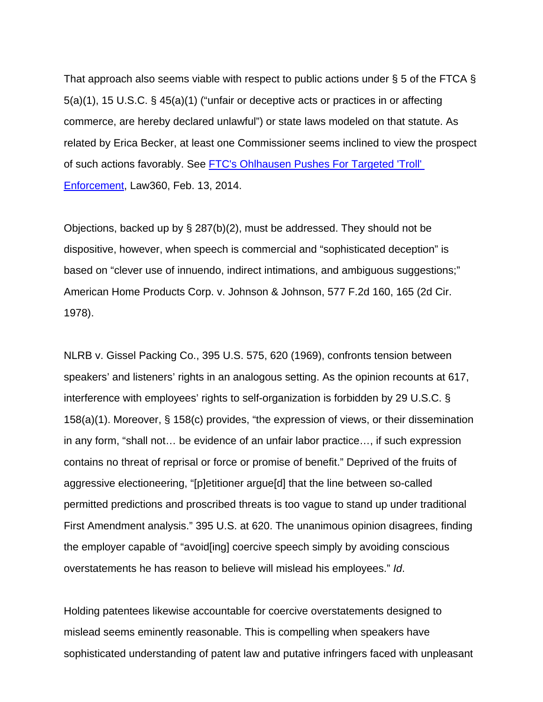That approach also seems viable with respect to public actions under § 5 of the FTCA § 5(a)(1), 15 U.S.C. § 45(a)(1) ("unfair or deceptive acts or practices in or affecting commerce, are hereby declared unlawful") or state laws modeled on that statute. As related by Erica Becker, at least one Commissioner seems inclined to view the prospect of such actions favorably. See FTC's Ohlhausen Pushes For Targeted 'Troll' Enforcement, Law360, Feb. 13, 2014.

Objections, backed up by § 287(b)(2), must be addressed. They should not be dispositive, however, when speech is commercial and "sophisticated deception" is based on "clever use of innuendo, indirect intimations, and ambiguous suggestions;" American Home Products Corp. v. Johnson & Johnson, 577 F.2d 160, 165 (2d Cir. 1978).

NLRB v. Gissel Packing Co., 395 U.S. 575, 620 (1969), confronts tension between speakers' and listeners' rights in an analogous setting. As the opinion recounts at 617, interference with employees' rights to self-organization is forbidden by 29 U.S.C. § 158(a)(1). Moreover, § 158(c) provides, "the expression of views, or their dissemination in any form, "shall not… be evidence of an unfair labor practice…, if such expression contains no threat of reprisal or force or promise of benefit." Deprived of the fruits of aggressive electioneering, "[p]etitioner argue[d] that the line between so-called permitted predictions and proscribed threats is too vague to stand up under traditional First Amendment analysis." 395 U.S. at 620. The unanimous opinion disagrees, finding the employer capable of "avoid[ing] coercive speech simply by avoiding conscious overstatements he has reason to believe will mislead his employees." *Id*.

Holding patentees likewise accountable for coercive overstatements designed to mislead seems eminently reasonable. This is compelling when speakers have sophisticated understanding of patent law and putative infringers faced with unpleasant